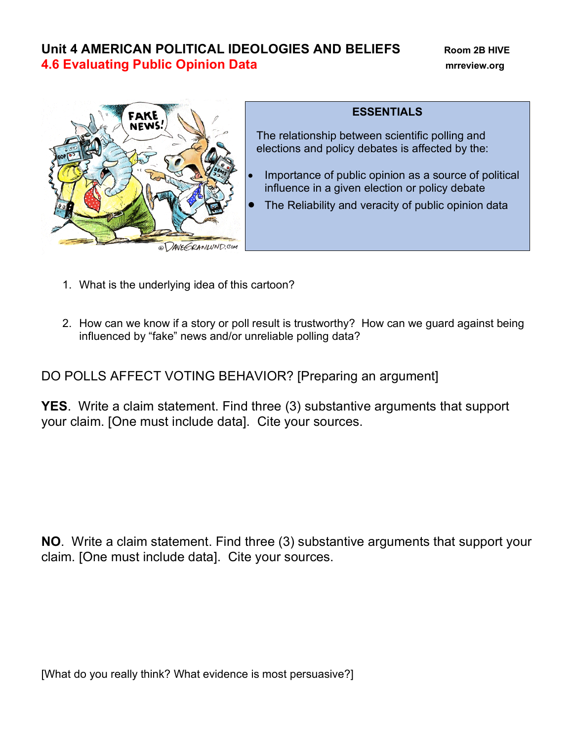## **Unit 4 AMERICAN POLITICAL IDEOLOGIES AND BELIEFS Room 2B HIVE 4.6 Evaluating Public Opinion Data mrreview.org**



## **ESSENTIALS**

The relationship between scientific polling and elections and policy debates is affected by the:

- Importance of public opinion as a source of political influence in a given election or policy debate
- The Reliability and veracity of public opinion data
- 1. What is the underlying idea of this cartoon?
- 2. How can we know if a story or poll result is trustworthy? How can we guard against being influenced by "fake" news and/or unreliable polling data?

DO POLLS AFFECT VOTING BEHAVIOR? [Preparing an argument]

**YES**. Write a claim statement. Find three (3) substantive arguments that support your claim. [One must include data]. Cite your sources.

**NO**. Write a claim statement. Find three (3) substantive arguments that support your claim. [One must include data]. Cite your sources.

[What do you really think? What evidence is most persuasive?]